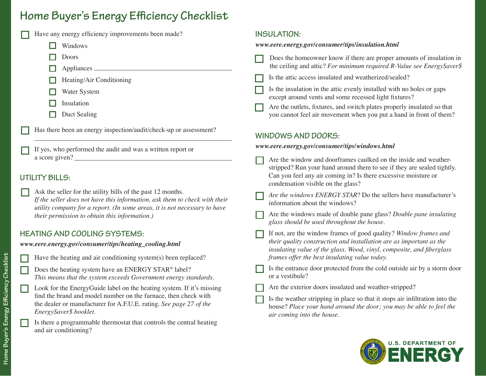# **Home Buyer's Energy Efficiency Checklist**

#### Have any energy efficiency improvements been made? Windows Doors Appliances Water System Insulation Duct Sealing Heating/Air Conditioning **INSULATION:** *www.eere.energy.gov/consumer/tips/insulation.html* Is the attic access insulated and weatherized/sealed? Does the homeowner know if there are proper amounts of insulation in the ceiling and attic? *For minimum required R-Value see EnergySaver\$* Is the insulation in the attic evenly installed with no holes or gaps except around vents and some recessed light fixtures? Are the outlets, fixtures, and switch plates properly insulated so that you cannot feel air movement when you put a hand in front of them?

**WINDOWS AND DOORS:**

If yes, who performed the audit and was a written report or a score given?

Has there been an energy inspection/audit/check-up or assessment?

# **UTILITY BILLS:**

Ask the seller for the utility bills of the past 12 months. *If the seller does not have this information, ask them to check with their utility company for a report. (In some areas, it is not necessary to have their permission to obtain this information.)*

# **HEATING AND COOLING SYSTEMS:**

*www.eere.energy.gov/consumer/tips/heating\_cooling.html*

| Ş                                                                                                              |  |
|----------------------------------------------------------------------------------------------------------------|--|
|                                                                                                                |  |
|                                                                                                                |  |
|                                                                                                                |  |
| נ<br>ק                                                                                                         |  |
|                                                                                                                |  |
|                                                                                                                |  |
|                                                                                                                |  |
|                                                                                                                |  |
|                                                                                                                |  |
|                                                                                                                |  |
|                                                                                                                |  |
|                                                                                                                |  |
|                                                                                                                |  |
|                                                                                                                |  |
|                                                                                                                |  |
| ׅ֧֧֪ׅ֧֧֧֪ׅ֪֪֧֧֧֪ׅ֖֧֧֧֧֧֧֪ׅ֧֪֧֛֪֪֧֛֪֧֛֪֧֚֚֚֚֚֚֚֚֚֚֚֚֚֚֚֚֚֚֚֚֚֚֚֚֚֚֚֚֚֚֡֡֡֡֡֡֬֝֬֝֓֡֡֬֝֬֓֝֓֝֬֝֬֝֬֝֬֝֬֝֬֝֬֝֬֝֬֝֬֝֬ |  |
|                                                                                                                |  |
| j                                                                                                              |  |
|                                                                                                                |  |
|                                                                                                                |  |
|                                                                                                                |  |
| Ī                                                                                                              |  |
|                                                                                                                |  |
|                                                                                                                |  |
|                                                                                                                |  |
|                                                                                                                |  |
|                                                                                                                |  |
|                                                                                                                |  |
|                                                                                                                |  |
|                                                                                                                |  |
|                                                                                                                |  |
|                                                                                                                |  |
|                                                                                                                |  |
|                                                                                                                |  |
| כ<br>וב                                                                                                        |  |
|                                                                                                                |  |
|                                                                                                                |  |
|                                                                                                                |  |
|                                                                                                                |  |
|                                                                                                                |  |
| į                                                                                                              |  |
|                                                                                                                |  |
|                                                                                                                |  |
|                                                                                                                |  |
|                                                                                                                |  |
|                                                                                                                |  |
| י<br>נ                                                                                                         |  |
|                                                                                                                |  |
|                                                                                                                |  |
|                                                                                                                |  |

Have the heating and air conditioning system(s) been replaced?

Does the heating system have an ENERGY STAR® label? *This means that the system exceeds Government energy standards.*

Look for the EnergyGuide label on the heating system. If it's missing find the brand and model number on the furnace, then check with the dealer or manufacturer for A.F.U.E. rating. *See page 27 of the EnergySaver\$ booklet.*

Is there a programmable thermostat that controls the central heating and air conditioning?

#### Are the window and doorframes caulked on the inside and weatherstripped? Run your hand around them to see if they are sealed tightly. Can you feel any air coming in? Is there excessive moisture or

*www.eere.energy.gov/consumer/tips/windows.html*

condensation visible on the glass?

- *Are the windows ENERGY STAR*? Do the sellers have manufacturer's information about the windows?
- Are the windows made of double pane glass? *Double pane insulating glass should be used throughout the house.*
- If not, are the window frames of good quality? *Window frames and their quality construction and installation are as important as the insulating value of the glass. Wood, vinyl, composite, and fiberglass frames offer the best insulating value today.*
- Is the entrance door protected from the cold outside air by a storm door or a vestibule?
- Are the exterior doors insulated and weather-stripped?
- Is the weather stripping in place so that it stops air infiltration into the house? *Place your hand around the door; you may be able to feel the air coming into the house.*